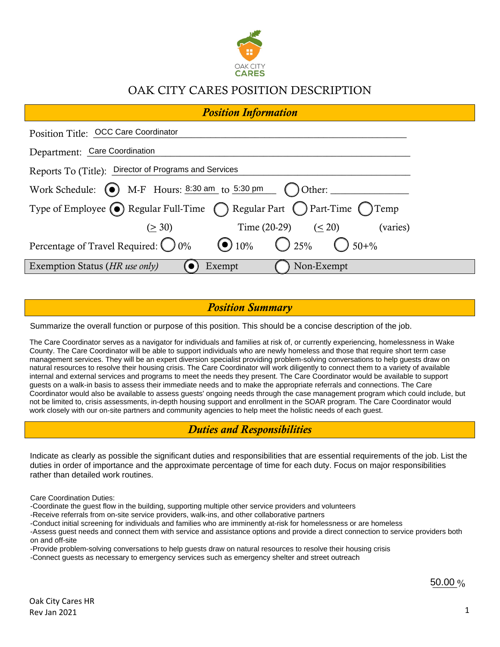

## OAK CITY CARES POSITION DESCRIPTION

| <b>Position Information</b>                                                                   |  |  |  |  |
|-----------------------------------------------------------------------------------------------|--|--|--|--|
| Position Title: OCC Care Coordinator                                                          |  |  |  |  |
| Department: Care Coordination                                                                 |  |  |  |  |
| Reports To (Title): Director of Programs and Services                                         |  |  |  |  |
| Work Schedule: $\bigodot$ M-F Hours: $8:30 \text{ am}$ to $5:30 \text{ pm}$ $\bigodot$ Other: |  |  |  |  |
| Type of Employee (O) Regular Full-Time ( Regular Part ( ) Part-Time ( ) Temp                  |  |  |  |  |
| Time $(20-29)$ $(< 20)$<br>(varies)<br>(> 30)                                                 |  |  |  |  |
| Percentage of Travel Required: $\bigcirc$ 0% $\bigcirc$ 10% $\bigcirc$ 25% $\bigcirc$ 50+%    |  |  |  |  |
| Non-Exempt<br>Exemption Status (HR use only)<br>Exempt                                        |  |  |  |  |

#### *Position Summary*

The Care Coordinator serves as a navigator for individuals and families at risk of, or currently experiencing, homelessness in Wake County. The Care Coordinator will be able to support individuals who are newly homeless and those that require short term case management services. They will be an expert diversion specialist providing problem-solving conversations to help guests draw on natural resources to resolve their housing crisis. The Care Coordinator will work diligently to connect them to a variety of available internal and external services and programs to meet the needs they present. The Care Coordinator would be available to support guests on a walk-in basis to assess their immediate needs and to make the appropriate referrals and connections. The Care Coordinator would also be available to assess guests' ongoing needs through the case management program which could include, but not be limited to, crisis assessments, in-depth housing support and enrollment in the SOAR program. The Care Coordinator would work closely with our on-site partners and community agencies to help meet the holistic needs of each guest. Summarize the overall function or purpose of this position. This should be a concise description of the job.<br>The Care Coordinator serves as a navigator for individuals and families at risk of, or currently experiencing, ho

## *Duties and Responsibilities*

Indicate as clearly as possible the significant duties and responsibilities that are essential requirements of the job. List the duties in order of importance and the approximate percentage of time for each duty. Focus on major responsibilities

Care Coordination Duties:

-Coordinate the guest flow in the building, supporting multiple other service providers and volunteers

-Receive referrals from on-site service providers, walk-ins, and other collaborative partners

-Conduct initial screening for individuals and families who are imminently at-risk for homelessness or are homeless

-Assess guest needs and connect them with service and assistance options and provide a direct connection to service providers both on and off-site

-Provide problem-solving conversations to help guests draw on natural resources to resolve their housing crisis

-Connect guests as necessary to emergency services such as emergency shelter and street outreach

50.00 %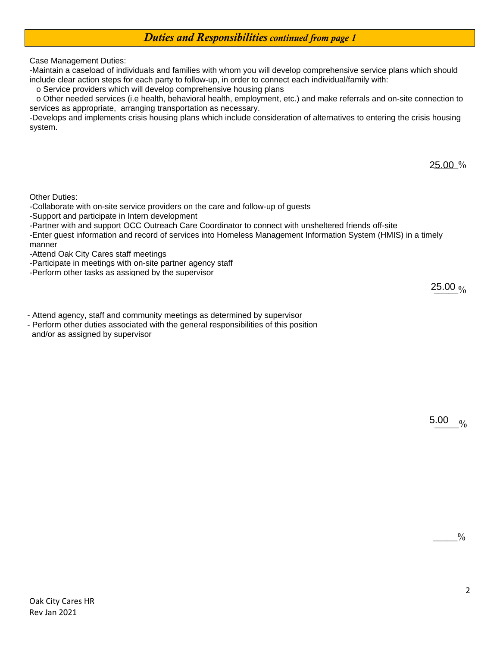### *Duties and Responsibilities continued from page 1*

Case Management Duties:

-Maintain a caseload of individuals and families with whom you will develop comprehensive service plans which should include clear action steps for each party to follow-up, in order to connect each individual/family with:

o Service providers which will develop comprehensive housing plans

 o Other needed services (i.e health, behavioral health, employment, etc.) and make referrals and on-site connection to services as appropriate, arranging transportation as necessary.

-Develops and implements crisis housing plans which include consideration of alternatives to entering the crisis housing system.

25.00 %

Other Duties:

-Collaborate with on-site service providers on the care and follow-up of guests

-Support and participate in Intern development

-Partner with and support OCC Outreach Care Coordinator to connect with unsheltered friends off-site

-Enter guest information and record of services into Homeless Management Information System (HMIS) in a timely manner

-Attend Oak City Cares staff meetings

-Participate in meetings with on-site partner agency staff

-Perform other tasks as assigned by the supervisor

 $25.00\frac{9}{6}$ 

- Attend agency, staff and community meetings as determined by supervisor

- Perform other duties associated with the general responsibilities of this position and/or as assigned by supervisor

> $\frac{0}{0}$ 5.00

> > $^{0}/_{0}$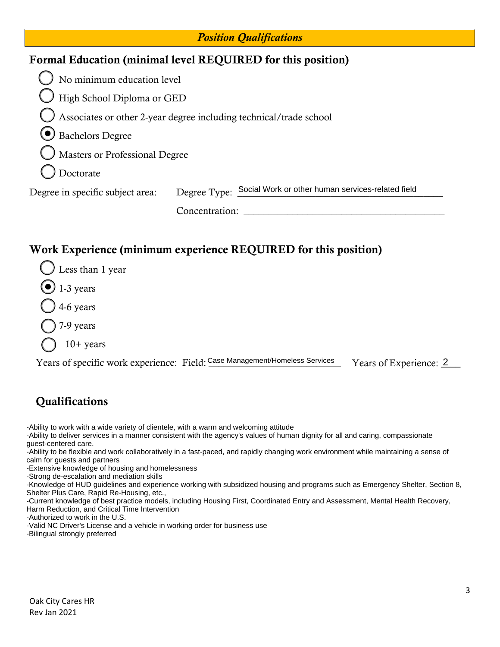| <b>Position Qualifications</b>                                  |                                                                    |  |  |  |  |
|-----------------------------------------------------------------|--------------------------------------------------------------------|--|--|--|--|
| Formal Education (minimal level REQUIRED for this position)     |                                                                    |  |  |  |  |
| No minimum education level                                      |                                                                    |  |  |  |  |
| High School Diploma or GED                                      |                                                                    |  |  |  |  |
|                                                                 | Associates or other 2-year degree including technical/trade school |  |  |  |  |
| Bachelors Degree                                                |                                                                    |  |  |  |  |
| Masters or Professional Degree                                  |                                                                    |  |  |  |  |
| Doctorate                                                       |                                                                    |  |  |  |  |
| Degree in specific subject area:                                | Degree Type: Social Work or other human services-related field     |  |  |  |  |
|                                                                 | Concentration:                                                     |  |  |  |  |
|                                                                 |                                                                    |  |  |  |  |
| Work Experience (minimum experience REQUIRED for this position) |                                                                    |  |  |  |  |

# Less than 1 year  $\bullet$  1-3 years 4-6 years 7-9 years

10+ years

Years of specific work experience: Field: Case Management/Homeless Services

Years of Experience: 2

## **Qualifications**

-Ability to work with a wide variety of clientele, with a warm and welcoming attitude

- -Ability to deliver services in a manner consistent with the agency's values of human dignity for all and caring, compassionate guest-centered care.
- -Ability to be flexible and work collaboratively in a fast-paced, and rapidly changing work environment while maintaining a sense of calm for guests and partners
- -Extensive knowledge of housing and homelessness

-Strong de-escalation and mediation skills

-Knowledge of HUD guidelines and experience working with subsidized housing and programs such as Emergency Shelter, Section 8, Shelter Plus Care, Rapid Re-Housing, etc.,

- -Current knowledge of best practice models, including Housing First, Coordinated Entry and Assessment, Mental Health Recovery, Harm Reduction, and Critical Time Intervention
- -Authorized to work in the U.S.

-Valid NC Driver's License and a vehicle in working order for business use

-Bilingual strongly preferred